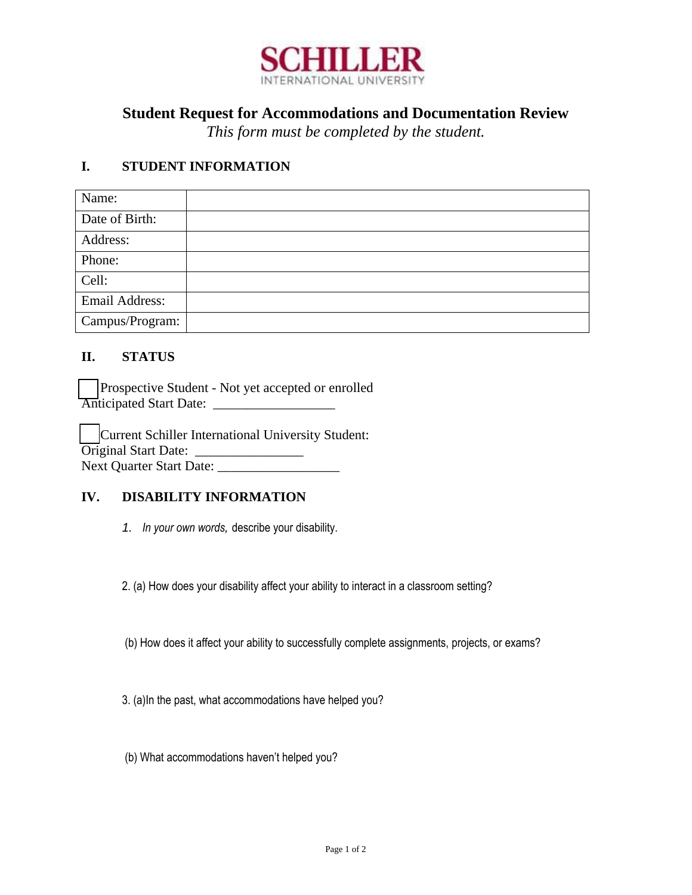

# **Student Request for Accommodations and Documentation Review**

*This form must be completed by the student.*

### **I. STUDENT INFORMATION**

| Name:           |  |
|-----------------|--|
| Date of Birth:  |  |
| Address:        |  |
| Phone:          |  |
| Cell:           |  |
| Email Address:  |  |
| Campus/Program: |  |

## **II. STATUS**

Prospective Student - Not yet accepted or enrolled Anticipated Start Date: \_\_\_\_\_\_\_\_\_\_\_\_\_\_\_\_\_\_

Current Schiller International University Student: Original Start Date: \_\_\_\_\_\_\_\_\_\_\_\_\_\_\_\_ Next Quarter Start Date: \_\_\_\_\_\_\_\_\_\_\_\_\_\_\_\_\_\_

### **IV. DISABILITY INFORMATION**

*1. In your own words,* describe your disability.

2. (a) How does your disability affect your ability to interact in a classroom setting?

(b) How does it affect your ability to successfully complete assignments, projects, or exams?

3. (a)In the past, what accommodations have helped you?

(b) What accommodations haven't helped you?